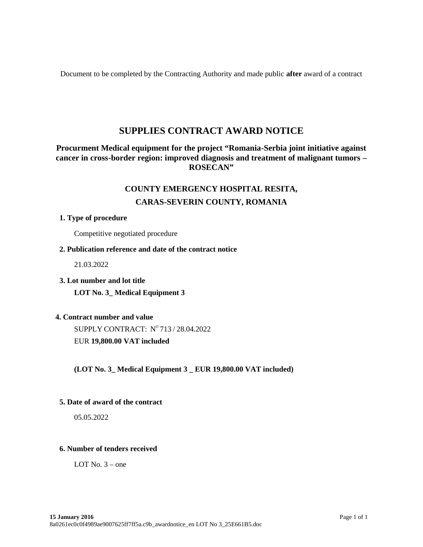Document to be completed by the Contracting Authority and made public **after** award of a contract

# **SUPPLIES CONTRACT AWARD NOTICE**

# **Procurment Medical equipment for the project "Romania-Serbia joint initiative against cancer in cross-border region: improved diagnosis and treatment of malignant tumors – ROSECAN"**

# **COUNTY EMERGENCY HOSPITAL RESITA,**

# **CARAS-SEVERIN COUNTY, ROMANIA**

# **1. Type of procedure**

Competitive negotiated procedure

## **2. Publication reference and date of the contract notice**

21.03.2022

**3. Lot number and lot title**

**LOT No. 3\_ Medical Equipment 3**

# **4. Contract number and value**

SUPPLY CONTRACT: Nº 713 / 28.04.2022

EUR **19,800.00 VAT included**

**(LOT No. 3\_ Medical Equipment 3 \_ EUR 19,800.00 VAT included)**

#### **5. Date of award of the contract**

05.05.2022

#### **6. Number of tenders received**

LOT No.  $3$  – one